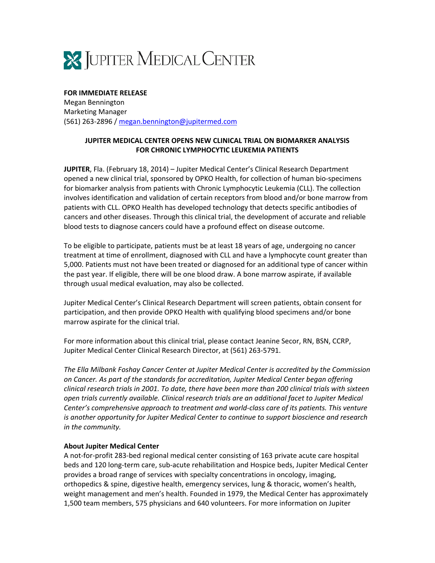

**FOR IMMEDIATE RELEASE** Megan Bennington Marketing Manager (561) 263‐2896 / megan.bennington@jupitermed.com

## **JUPITER MEDICAL CENTER OPENS NEW CLINICAL TRIAL ON BIOMARKER ANALYSIS FOR CHRONIC LYMPHOCYTIC LEUKEMIA PATIENTS**

**JUPITER**, Fla. (February 18, 2014) – Jupiter Medical Center's Clinical Research Department opened a new clinical trial, sponsored by OPKO Health, for collection of human bio‐specimens for biomarker analysis from patients with Chronic Lymphocytic Leukemia (CLL). The collection involves identification and validation of certain receptors from blood and/or bone marrow from patients with CLL. OPKO Health has developed technology that detects specific antibodies of cancers and other diseases. Through this clinical trial, the development of accurate and reliable blood tests to diagnose cancers could have a profound effect on disease outcome.

To be eligible to participate, patients must be at least 18 years of age, undergoing no cancer treatment at time of enrollment, diagnosed with CLL and have a lymphocyte count greater than 5,000. Patients must not have been treated or diagnosed for an additional type of cancer within the past year. If eligible, there will be one blood draw. A bone marrow aspirate, if available through usual medical evaluation, may also be collected.

Jupiter Medical Center's Clinical Research Department will screen patients, obtain consent for participation, and then provide OPKO Health with qualifying blood specimens and/or bone marrow aspirate for the clinical trial.

For more information about this clinical trial, please contact Jeanine Secor, RN, BSN, CCRP, Jupiter Medical Center Clinical Research Director, at (561) 263‐5791.

*The Ella Milbank Foshay Cancer Center at Jupiter Medical Center is accredited by the Commission on Cancer. As part of the standards for accreditation, Jupiter Medical Center began offering clinical research trials in 2001. To date, there have been more than 200 clinical trials with sixteen open trials currently available. Clinical research trials are an additional facet to Jupiter Medical Center's comprehensive approach to treatment and world‐class care of its patients. This venture is another opportunity for Jupiter Medical Center to continue to support bioscience and research in the community.*

## **About Jupiter Medical Center**

A not‐for‐profit 283‐bed regional medical center consisting of 163 private acute care hospital beds and 120 long‐term care, sub‐acute rehabilitation and Hospice beds, Jupiter Medical Center provides a broad range of services with specialty concentrations in oncology, imaging, orthopedics & spine, digestive health, emergency services, lung & thoracic, women's health, weight management and men's health. Founded in 1979, the Medical Center has approximately 1,500 team members, 575 physicians and 640 volunteers. For more information on Jupiter